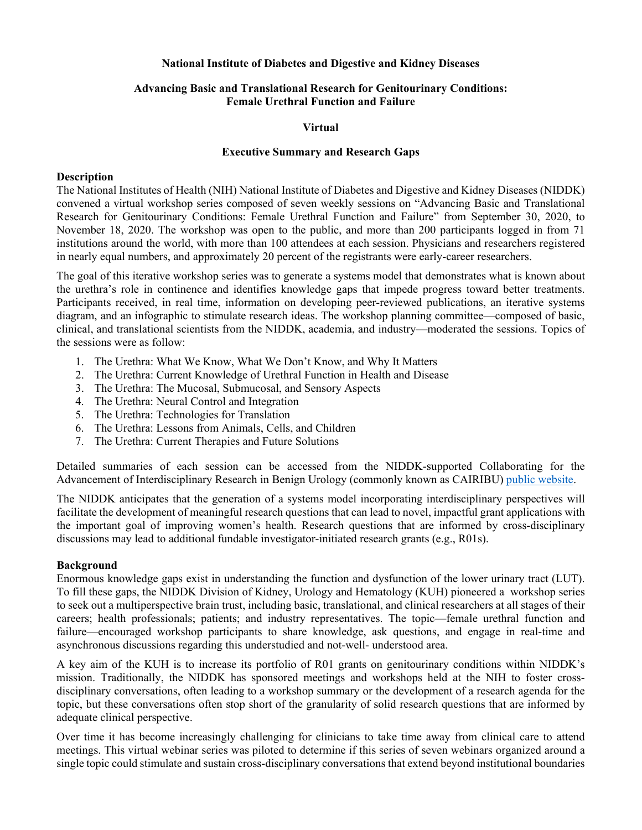### **National Institute of Diabetes and Digestive and Kidney Diseases**

## **Advancing Basic and Translational Research for Genitourinary Conditions: Female Urethral Function and Failure**

### **Virtual**

#### **Executive Summary and Research Gaps**

#### **Description**

The National Institutes of Health (NIH) National Institute of Diabetes and Digestive and Kidney Diseases (NIDDK) convened a virtual workshop series composed of seven weekly sessions on "Advancing Basic and Translational Research for Genitourinary Conditions: Female Urethral Function and Failure" from September 30, 2020, to November 18, 2020. The workshop was open to the public, and more than 200 participants logged in from 71 institutions around the world, with more than 100 attendees at each session. Physicians and researchers registered in nearly equal numbers, and approximately 20 percent of the registrants were early-career researchers.

The goal of this iterative workshop series was to generate a systems model that demonstrates what is known about the urethra's role in continence and identifies knowledge gaps that impede progress toward better treatments. Participants received, in real time, information on developing peer-reviewed publications, an iterative systems diagram, and an infographic to stimulate research ideas. The workshop planning committee—composed of basic, clinical, and translational scientists from the NIDDK, academia, and industry—moderated the sessions. Topics of the sessions were as follow:

- 1. The Urethra: What We Know, What We Don't Know, and Why It Matters
- 2. The Urethra: Current Knowledge of Urethral Function in Health and Disease
- 3. The Urethra: The Mucosal, Submucosal, and Sensory Aspects
- 4. The Urethra: Neural Control and Integration
- 5. The Urethra: Technologies for Translation
- 6. The Urethra: Lessons from Animals, Cells, and Children
- 7. The Urethra: Current Therapies and Future Solutions

Detailed summaries of each session can be accessed from the NIDDK-supported Collaborating for the Advancement of Interdisciplinary Research in Benign Urology (commonly known as CAIRIBU) [public website.](https://niddkcairibu.urology.wisc.edu/)

The NIDDK anticipates that the generation of a systems model incorporating interdisciplinary perspectives will facilitate the development of meaningful research questions that can lead to novel, impactful grant applications with the important goal of improving women's health. Research questions that are informed by cross-disciplinary discussions may lead to additional fundable investigator-initiated research grants (e.g., R01s).

#### **Background**

Enormous knowledge gaps exist in understanding the function and dysfunction of the lower urinary tract (LUT). To fill these gaps, the NIDDK Division of Kidney, Urology and Hematology (KUH) pioneered a workshop series to seek out a multiperspective brain trust, including basic, translational, and clinical researchers at all stages of their careers; health professionals; patients; and industry representatives. The topic—female urethral function and failure—encouraged workshop participants to share knowledge, ask questions, and engage in real-time and asynchronous discussions regarding this understudied and not-well- understood area.

A key aim of the KUH is to increase its portfolio of R01 grants on genitourinary conditions within NIDDK's mission. Traditionally, the NIDDK has sponsored meetings and workshops held at the NIH to foster crossdisciplinary conversations, often leading to a workshop summary or the development of a research agenda for the topic, but these conversations often stop short of the granularity of solid research questions that are informed by adequate clinical perspective.

Over time it has become increasingly challenging for clinicians to take time away from clinical care to attend meetings. This virtual webinar series was piloted to determine if this series of seven webinars organized around a single topic could stimulate and sustain cross-disciplinary conversations that extend beyond institutional boundaries